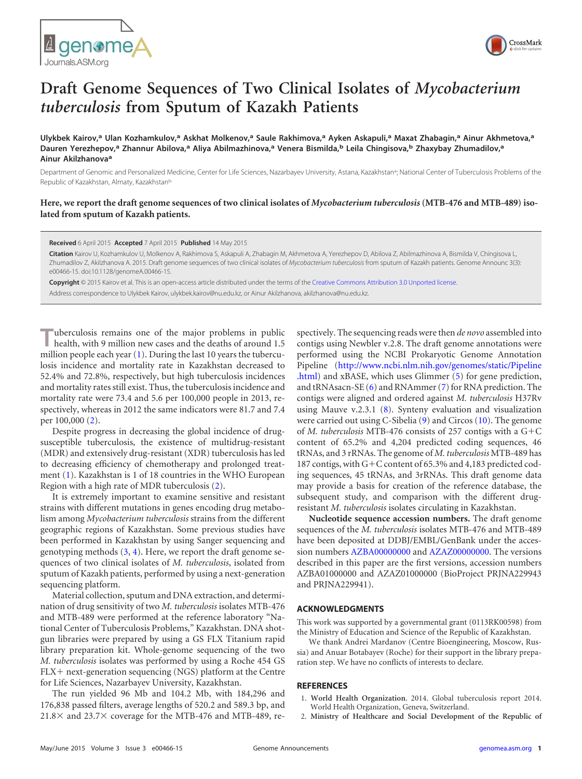



# **Draft Genome Sequences of Two Clinical Isolates of** *Mycobacterium tuberculosis* **from Sputum of Kazakh Patients**

**Ulykbek Kairov,<sup>a</sup> Ulan Kozhamkulov,<sup>a</sup> Askhat Molkenov,<sup>a</sup> Saule Rakhimova,<sup>a</sup> Ayken Askapuli,<sup>a</sup> Maxat Zhabagin,<sup>a</sup> Ainur Akhmetova,<sup>a</sup> Dauren Yerezhepov,<sup>a</sup> Zhannur Abilova,<sup>a</sup> Aliya Abilmazhinova,<sup>a</sup> Venera Bismilda,<sup>b</sup> Leila Chingisova,<sup>b</sup> Zhaxybay Zhumadilov,<sup>a</sup> Ainur Akilzhanova<sup>a</sup>**

Department of Genomic and Personalized Medicine, Center for Life Sciences, Nazarbayev University, Astana, Kazakhstan<sup>a</sup>; National Center of Tuberculosis Problems of the Republic of Kazakhstan, Almaty, Kazakhstanb

# **Here, we report the draft genome sequences of two clinical isolates of** *Mycobacterium tuberculosis* **(MTB-476 and MTB-489) isolated from sputum of Kazakh patients.**

#### **Received** 6 April 2015 **Accepted** 7 April 2015 **Published** 14 May 2015

**Citation** Kairov U, Kozhamkulov U, Molkenov A, Rakhimova S, Askapuli A, Zhabagin M, Akhmetova A, Yerezhepov D, Abilova Z, Abilmazhinova A, Bismilda V, Chingisova L, Zhumadilov Z, Akilzhanova A. 2015. Draft genome sequences of two clinical isolates of *Mycobacterium tuberculosis* from sputum of Kazakh patients. Genome Announc 3(3): e00466-15. doi:10.1128/genomeA.00466-15.

**Copyright** © 2015 Kairov et al. This is an open-access article distributed under the terms of the Creative Commons Attribution 3.0 Unported license.

Address correspondence to Ulykbek Kairov, ulykbek.kairov@nu.edu.kz, or Ainur Akilzhanova, akilzhanova@nu.edu.kz.

**Tuberculosis remains one of the major problems in public health, with 9 million new cases and the deaths of around 1.5** million people each year (1). During the last 10 years the tuberculosis incidence and mortality rate in Kazakhstan decreased to 52.4% and 72.8%, respectively, but high tuberculosis incidences and mortality rates still exist. Thus, the tuberculosis incidence and mortality rate were 73.4 and 5.6 per 100,000 people in 2013, respectively, whereas in 2012 the same indicators were 81.7 and 7.4 per 100,000 (2).

Despite progress in decreasing the global incidence of drugsusceptible tuberculosis, the existence of multidrug-resistant (MDR) and extensively drug-resistant (XDR) tuberculosis has led to decreasing efficiency of chemotherapy and prolonged treatment (1). Kazakhstan is 1 of 18 countries in the WHO European Region with a high rate of MDR tuberculosis (2).

It is extremely important to examine sensitive and resistant strains with different mutations in genes encoding drug metabolism among *Mycobacterium tuberculosis* strains from the different geographic regions of Kazakhstan. Some previous studies have been performed in Kazakhstan by using Sanger sequencing and genotyping methods  $(3, 4)$ . Here, we report the draft genome sequences of two clinical isolates of *M. tuberculosis*, isolated from sputum of Kazakh patients, performed by using a next-generation sequencing platform.

Material collection, sputum and DNA extraction, and determination of drug sensitivity of two *M. tuberculosis* isolates MTB-476 and MTB-489 were performed at the reference laboratory "National Center of Tuberculosis Problems," Kazakhstan. DNA shotgun libraries were prepared by using a GS FLX Titanium rapid library preparation kit. Whole-genome sequencing of the two *M. tuberculosis* isolates was performed by using a Roche 454 GS FLX+ next-generation sequencing (NGS) platform at the Centre for Life Sciences, Nazarbayev University, Kazakhstan.

The run yielded 96 Mb and 104.2 Mb, with 184,296 and 176,838 passed filters, average lengths of 520.2 and 589.3 bp, and  $21.8\times$  and  $23.7\times$  coverage for the MTB-476 and MTB-489, respectively. The sequencing reads were then *de novo* assembled into contigs using Newbler v.2.8. The draft genome annotations were performed using the NCBI Prokaryotic Genome Annotation Pipeline (http://www.ncbi.nlm.nih.gov/genomes/static/Pipeline .html) and xBASE, which uses Glimmer (5) for gene prediction, and tRNAsacn-SE (6) and RNAmmer (7) for RNA prediction. The contigs were aligned and ordered against *M. tuberculosis* H37Rv using Mauve v.2.3.1 (8). Synteny evaluation and visualization were carried out using C-Sibelia (9) and Circos (10). The genome of *M. tuberculosis* MTB-476 consists of 257 contigs with a G+C content of 65.2% and 4,204 predicted coding sequences, 46 tRNAs, and 3 rRNAs. The genome of *M. tuberculosis* MTB-489 has 187 contigs, with G+C content of 65.3% and 4,183 predicted coding sequences, 45 tRNAs, and 3rRNAs. This draft genome data may provide a basis for creation of the reference database, the subsequent study, and comparison with the different drugresistant *M. tuberculosis* isolates circulating in Kazakhstan.

**Nucleotide sequence accession numbers.** The draft genome sequences of the *M. tuberculosis* isolates MTB-476 and MTB-489 have been deposited at DDBJ/EMBL/GenBank under the accession numbers AZBA00000000 and AZAZ00000000. The versions described in this paper are the first versions, accession numbers AZBA01000000 and AZAZ01000000 (BioProject PRJNA229943 and PRJNA229941).

## **ACKNOWLEDGMENTS**

This work was supported by a governmental grant (0113RK00598) from the Ministry of Education and Science of the Republic of Kazakhstan.

We thank Andrei Mardanov (Centre Bioengineering, Moscow, Russia) and Anuar Botabayev (Roche) for their support in the library preparation step. We have no conflicts of interests to declare.

### **REFERENCES**

- 1. **World Health Organization**. 2014. Global tuberculosis report 2014. World Health Organization, Geneva, Switzerland.
- 2. **Ministry of Healthcare and Social Development of the Republic of**